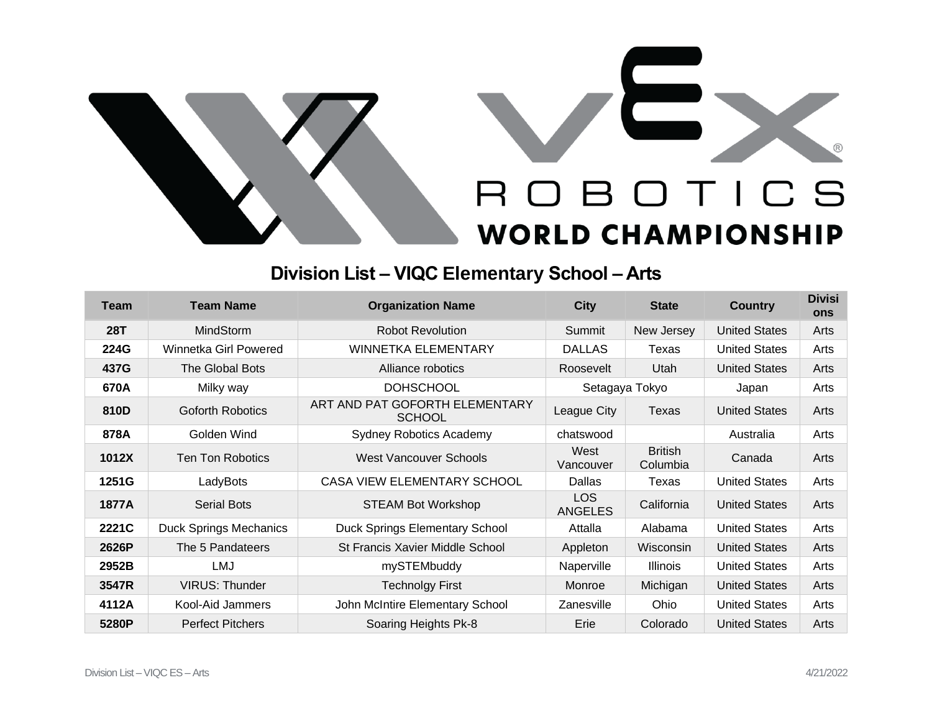

## **Division List – VIQC Elementary School – Arts**

| <b>Team</b> | <b>Team Name</b>              | <b>Organization Name</b>                        | <b>City</b>            | <b>State</b>               | <b>Country</b>       | <b>Divisi</b><br>ons |
|-------------|-------------------------------|-------------------------------------------------|------------------------|----------------------------|----------------------|----------------------|
| <b>28T</b>  | <b>MindStorm</b>              | <b>Robot Revolution</b>                         | Summit                 | New Jersey                 | <b>United States</b> | Arts                 |
| 224G        | Winnetka Girl Powered         | <b>WINNETKA ELEMENTARY</b>                      | <b>DALLAS</b>          | Texas                      | <b>United States</b> | Arts                 |
| 437G        | The Global Bots               | Alliance robotics                               | Roosevelt              | Utah                       | <b>United States</b> | Arts                 |
| 670A        | Milky way                     | <b>DOHSCHOOL</b>                                | Setagaya Tokyo         |                            | Japan                | Arts                 |
| 810D        | <b>Goforth Robotics</b>       | ART AND PAT GOFORTH ELEMENTARY<br><b>SCHOOL</b> | League City            | Texas                      | <b>United States</b> | Arts                 |
| 878A        | Golden Wind                   | <b>Sydney Robotics Academy</b>                  | chatswood              |                            | Australia            | Arts                 |
| 1012X       | Ten Ton Robotics              | West Vancouver Schools                          | West<br>Vancouver      | <b>British</b><br>Columbia | Canada               | Arts                 |
| 1251G       | LadyBots                      | <b>CASA VIEW ELEMENTARY SCHOOL</b>              | Dallas                 | Texas                      | <b>United States</b> | Arts                 |
| 1877A       | <b>Serial Bots</b>            | <b>STEAM Bot Workshop</b>                       | LOS.<br><b>ANGELES</b> | California                 | <b>United States</b> | Arts                 |
| 2221C       | <b>Duck Springs Mechanics</b> | <b>Duck Springs Elementary School</b>           | Attalla                | Alabama                    | <b>United States</b> | Arts                 |
| 2626P       | The 5 Pandateers              | St Francis Xavier Middle School                 | Appleton               | Wisconsin                  | <b>United States</b> | Arts                 |
| 2952B       | LMJ                           | mySTEMbuddy                                     | Naperville             | <b>Illinois</b>            | <b>United States</b> | Arts                 |
| 3547R       | <b>VIRUS: Thunder</b>         | <b>Technolgy First</b>                          | Monroe                 | Michigan                   | <b>United States</b> | Arts                 |
| 4112A       | Kool-Aid Jammers              | John McIntire Elementary School                 | Zanesville             | <b>Ohio</b>                | <b>United States</b> | Arts                 |
| 5280P       | <b>Perfect Pitchers</b>       | Soaring Heights Pk-8                            | Erie                   | Colorado                   | <b>United States</b> | Arts                 |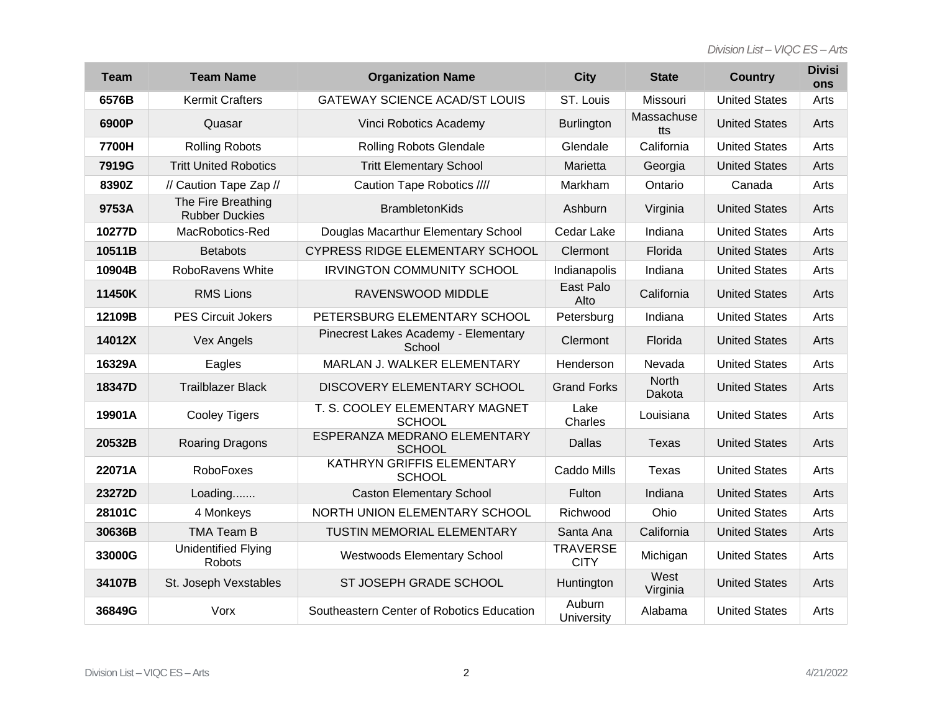| Team   | <b>Team Name</b>                            | <b>Organization Name</b>                        | <b>City</b>                    | <b>State</b>           | <b>Country</b>       | <b>Divisi</b><br><b>ons</b> |
|--------|---------------------------------------------|-------------------------------------------------|--------------------------------|------------------------|----------------------|-----------------------------|
| 6576B  | <b>Kermit Crafters</b>                      | <b>GATEWAY SCIENCE ACAD/ST LOUIS</b>            | ST. Louis                      | Missouri               | <b>United States</b> | Arts                        |
| 6900P  | Quasar                                      | Vinci Robotics Academy                          | <b>Burlington</b>              | Massachuse<br>tts      | <b>United States</b> | Arts                        |
| 7700H  | <b>Rolling Robots</b>                       | <b>Rolling Robots Glendale</b>                  | Glendale                       | California             | <b>United States</b> | Arts                        |
| 7919G  | <b>Tritt United Robotics</b>                | <b>Tritt Elementary School</b>                  | Marietta                       | Georgia                | <b>United States</b> | Arts                        |
| 8390Z  | // Caution Tape Zap //                      | Caution Tape Robotics ////                      | Markham                        | Ontario                | Canada               | Arts                        |
| 9753A  | The Fire Breathing<br><b>Rubber Duckies</b> | <b>BrambletonKids</b>                           | Ashburn                        | Virginia               | <b>United States</b> | Arts                        |
| 10277D | MacRobotics-Red                             | Douglas Macarthur Elementary School             | Cedar Lake                     | Indiana                | <b>United States</b> | Arts                        |
| 10511B | <b>Betabots</b>                             | CYPRESS RIDGE ELEMENTARY SCHOOL                 | Clermont                       | Florida                | <b>United States</b> | Arts                        |
| 10904B | RoboRavens White                            | <b>IRVINGTON COMMUNITY SCHOOL</b>               | Indianapolis                   | Indiana                | <b>United States</b> | Arts                        |
| 11450K | <b>RMS Lions</b>                            | RAVENSWOOD MIDDLE                               | East Palo<br>Alto              | California             | <b>United States</b> | Arts                        |
| 12109B | <b>PES Circuit Jokers</b>                   | PETERSBURG ELEMENTARY SCHOOL                    | Petersburg                     | Indiana                | <b>United States</b> | Arts                        |
| 14012X | <b>Vex Angels</b>                           | Pinecrest Lakes Academy - Elementary<br>School  | Clermont                       | Florida                | <b>United States</b> | Arts                        |
| 16329A | Eagles                                      | MARLAN J. WALKER ELEMENTARY                     | Henderson                      | Nevada                 | <b>United States</b> | Arts                        |
| 18347D | <b>Trailblazer Black</b>                    | DISCOVERY ELEMENTARY SCHOOL                     | <b>Grand Forks</b>             | <b>North</b><br>Dakota | <b>United States</b> | Arts                        |
| 19901A | <b>Cooley Tigers</b>                        | T. S. COOLEY ELEMENTARY MAGNET<br><b>SCHOOL</b> | Lake<br>Charles                | Louisiana              | <b>United States</b> | Arts                        |
| 20532B | Roaring Dragons                             | ESPERANZA MEDRANO ELEMENTARY<br><b>SCHOOL</b>   | Dallas                         | <b>Texas</b>           | <b>United States</b> | Arts                        |
| 22071A | RoboFoxes                                   | KATHRYN GRIFFIS ELEMENTARY<br><b>SCHOOL</b>     | Caddo Mills                    | Texas                  | <b>United States</b> | Arts                        |
| 23272D | Loading                                     | <b>Caston Elementary School</b>                 | Fulton                         | Indiana                | <b>United States</b> | Arts                        |
| 28101C | 4 Monkeys                                   | NORTH UNION ELEMENTARY SCHOOL                   | Richwood                       | Ohio                   | <b>United States</b> | Arts                        |
| 30636B | <b>TMA Team B</b>                           | <b>TUSTIN MEMORIAL ELEMENTARY</b>               | Santa Ana                      | California             | <b>United States</b> | Arts                        |
| 33000G | <b>Unidentified Flying</b><br>Robots        | Westwoods Elementary School                     | <b>TRAVERSE</b><br><b>CITY</b> | Michigan               | <b>United States</b> | Arts                        |
| 34107B | St. Joseph Vexstables                       | ST JOSEPH GRADE SCHOOL                          | Huntington                     | West<br>Virginia       | <b>United States</b> | Arts                        |
| 36849G | Vorx                                        | Southeastern Center of Robotics Education       | Auburn<br>University           | Alabama                | <b>United States</b> | Arts                        |